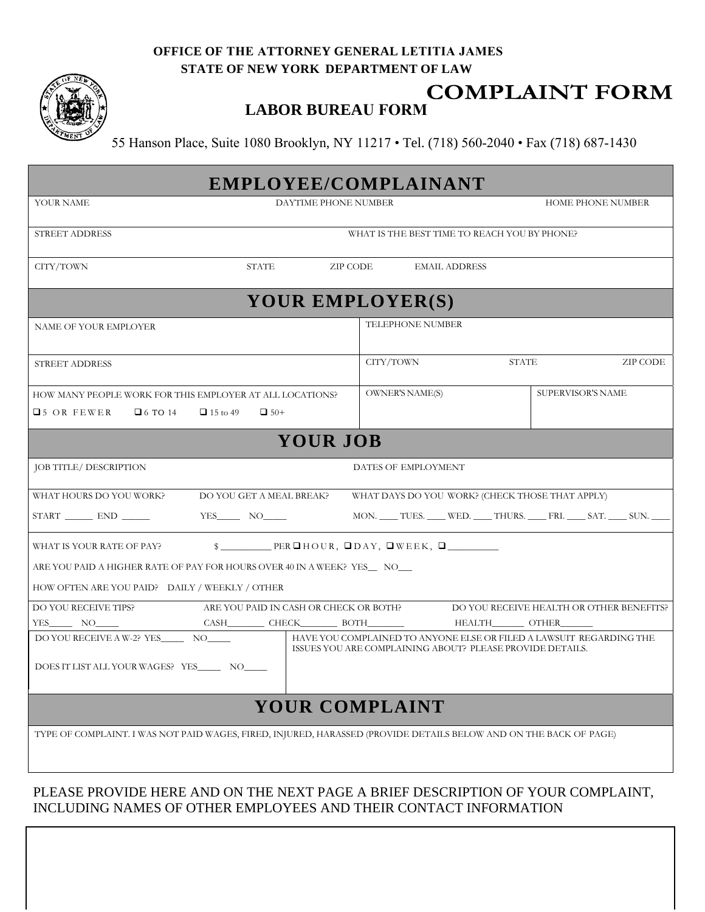## **OFFICE OF THE ATTORNEY GENERAL LETITIA JAMES STATE OF NEW YORK DEPARTMENT OF LAW**



## **COMPLAINT FORM**

**LABOR BUREAU FORM**

55 Hanson Place, Suite 1080 Brooklyn, NY 11217 • Tel. (718) 560-2040 • Fax (718) 687-1430

| EMPLOYEE/COMPLAINANT                                                                                                                                             |                                              |                   |  |  |  |
|------------------------------------------------------------------------------------------------------------------------------------------------------------------|----------------------------------------------|-------------------|--|--|--|
| DAYTIME PHONE NUMBER<br>YOUR NAME                                                                                                                                |                                              | HOME PHONE NUMBER |  |  |  |
| <b>STREET ADDRESS</b>                                                                                                                                            | WHAT IS THE BEST TIME TO REACH YOU BY PHONE? |                   |  |  |  |
| STATE<br>ZIP CODE<br>CITY/TOWN                                                                                                                                   | <b>EMAIL ADDRESS</b>                         |                   |  |  |  |
| YOUR EMPLOYER(S)                                                                                                                                                 |                                              |                   |  |  |  |
| NAME OF YOUR EMPLOYER                                                                                                                                            | <b>TELEPHONE NUMBER</b>                      |                   |  |  |  |
| STREET ADDRESS                                                                                                                                                   | CITY/TOWN<br><b>STATE</b>                    | ZIP CODE          |  |  |  |
| HOW MANY PEOPLE WORK FOR THIS EMPLOYER AT ALL LOCATIONS?                                                                                                         | <b>OWNER'S NAME(S)</b>                       | SUPERVISOR'S NAME |  |  |  |
| $\Box$ 5 OR FEWER<br>$\Box$ 6 TO 14<br>$\Box$ 15 to 49<br>$\Box$ 50+                                                                                             |                                              |                   |  |  |  |
| <b>YOUR JOB</b>                                                                                                                                                  |                                              |                   |  |  |  |
| JOB TITLE/ DESCRIPTION                                                                                                                                           | DATES OF EMPLOYMENT                          |                   |  |  |  |
| DO YOU GET A MEAL BREAK?<br>WHAT DAYS DO YOU WORK? (CHECK THOSE THAT APPLY)<br>WHAT HOURS DO YOU WORK?                                                           |                                              |                   |  |  |  |
| START END<br>YES NO<br>MON. _____ TUES. _____ WED. _____ THURS. _____ FRI. _____ SAT. _____ SUN. _____                                                           |                                              |                   |  |  |  |
| $\S$ PERDHOUR, DDAY, DWEEK, D<br>WHAT IS YOUR RATE OF PAY?                                                                                                       |                                              |                   |  |  |  |
| ARE YOU PAID A HIGHER RATE OF PAY FOR HOURS OVER 40 IN A WEEK? YES__ NO__                                                                                        |                                              |                   |  |  |  |
| HOW OFTEN ARE YOU PAID? DAILY / WEEKLY / OTHER                                                                                                                   |                                              |                   |  |  |  |
| DO YOU RECEIVE TIPS?<br>ARE YOU PAID IN CASH OR CHECK OR BOTH?<br>DO YOU RECEIVE HEALTH OR OTHER BENEFITS?                                                       |                                              |                   |  |  |  |
| $YES$ NO $\qquad$                                                                                                                                                |                                              |                   |  |  |  |
| HAVE YOU COMPLAINED TO ANYONE ELSE OR FILED A LAWSUIT REGARDING THE<br>DO YOU RECEIVE A W-2? YES NO<br>ISSUES YOU ARE COMPLAINING ABOUT? PLEASE PROVIDE DETAILS. |                                              |                   |  |  |  |
| DOES IT LIST ALL YOUR WAGES? YES NO                                                                                                                              |                                              |                   |  |  |  |
| <b>YOUR COMPLAINT</b>                                                                                                                                            |                                              |                   |  |  |  |
| TYPE OF COMPLAINT. I WAS NOT PAID WAGES, FIRED, INJURED, HARASSED (PROVIDE DETAILS BELOW AND ON THE BACK OF PAGE)                                                |                                              |                   |  |  |  |
|                                                                                                                                                                  |                                              |                   |  |  |  |

## PLEASE PROVIDE HERE AND ON THE NEXT PAGE A BRIEF DESCRIPTION OF YOUR COMPLAINT, INCLUDING NAMES OF OTHER EMPLOYEES AND THEIR CONTACT INFORMATION